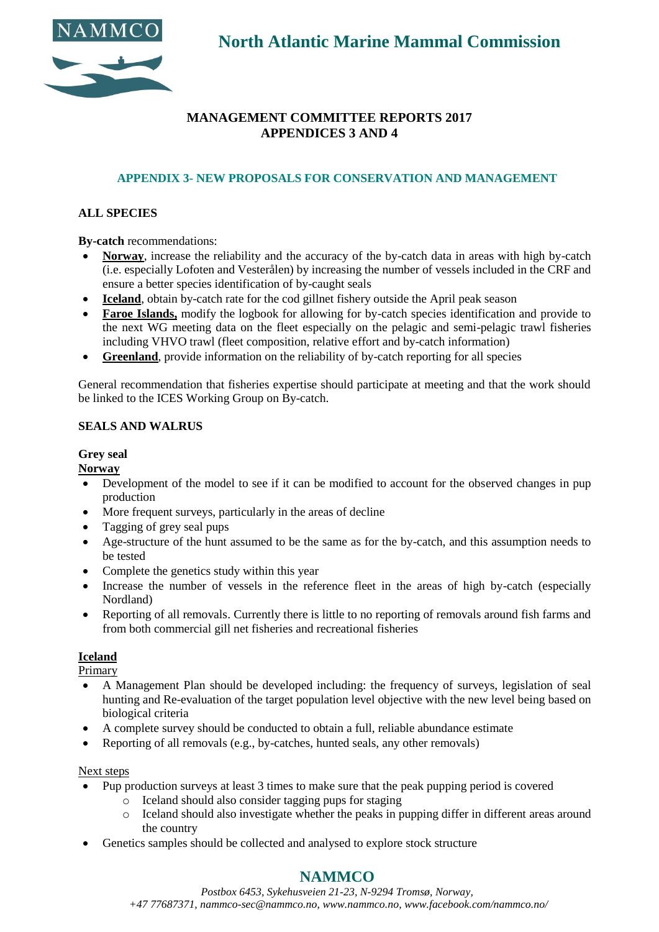

**North Atlantic Marine Mammal Commission**

# **MANAGEMENT COMMITTEE REPORTS 2017 APPENDICES 3 AND 4**

# **APPENDIX 3- NEW PROPOSALS FOR CONSERVATION AND MANAGEMENT**

# **ALL SPECIES**

**By-catch** recommendations:

- **Norway**, increase the reliability and the accuracy of the by-catch data in areas with high by-catch (i.e. especially Lofoten and Vesterålen) by increasing the number of vessels included in the CRF and ensure a better species identification of by-caught seals
- **Iceland**, obtain by-catch rate for the cod gillnet fishery outside the April peak season
- **Faroe Islands,** modify the logbook for allowing for by-catch species identification and provide to the next WG meeting data on the fleet especially on the pelagic and semi-pelagic trawl fisheries including VHVO trawl (fleet composition, relative effort and by-catch information)
- **Greenland**, provide information on the reliability of by-catch reporting for all species

General recommendation that fisheries expertise should participate at meeting and that the work should be linked to the ICES Working Group on By-catch.

### **SEALS AND WALRUS**

#### **Grey seal**

**Norway**

- Development of the model to see if it can be modified to account for the observed changes in pup production
- More frequent surveys, particularly in the areas of decline
- Tagging of grey seal pups
- Age-structure of the hunt assumed to be the same as for the by-catch, and this assumption needs to be tested
- Complete the genetics study within this year
- Increase the number of vessels in the reference fleet in the areas of high by-catch (especially Nordland)
- Reporting of all removals. Currently there is little to no reporting of removals around fish farms and from both commercial gill net fisheries and recreational fisheries

### **Iceland**

Primary

- A Management Plan should be developed including: the frequency of surveys, legislation of seal hunting and Re-evaluation of the target population level objective with the new level being based on biological criteria
- A complete survey should be conducted to obtain a full, reliable abundance estimate
- Reporting of all removals (e.g., by-catches, hunted seals, any other removals)

#### Next steps

- Pup production surveys at least 3 times to make sure that the peak pupping period is covered
	- o Iceland should also consider tagging pups for staging
	- o Iceland should also investigate whether the peaks in pupping differ in different areas around the country
- Genetics samples should be collected and analysed to explore stock structure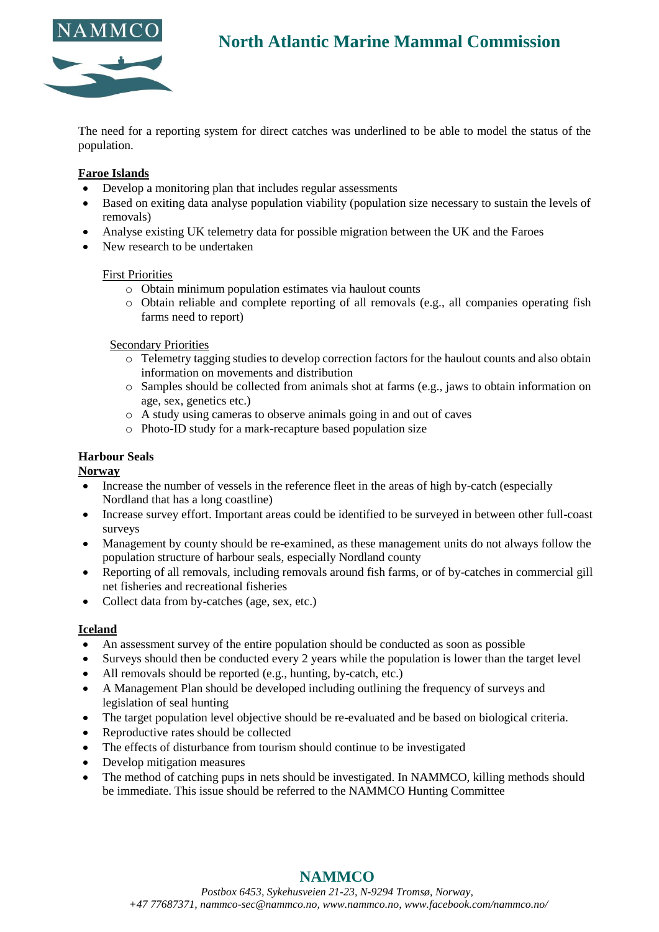

# **North Atlantic Marine Mammal Commission**

The need for a reporting system for direct catches was underlined to be able to model the status of the population.

#### **Faroe Islands**

- Develop a monitoring plan that includes regular assessments
- Based on exiting data analyse population viability (population size necessary to sustain the levels of removals)
- Analyse existing UK telemetry data for possible migration between the UK and the Faroes
- New research to be undertaken

#### First Priorities

- o Obtain minimum population estimates via haulout counts
- o Obtain reliable and complete reporting of all removals (e.g., all companies operating fish farms need to report)

#### Secondary Priorities

- o Telemetry tagging studies to develop correction factors for the haulout counts and also obtain information on movements and distribution
- o Samples should be collected from animals shot at farms (e.g., jaws to obtain information on age, sex, genetics etc.)
- o A study using cameras to observe animals going in and out of caves
- o Photo-ID study for a mark-recapture based population size

#### **Harbour Seals**

#### **Norway**

- Increase the number of vessels in the reference fleet in the areas of high by-catch (especially Nordland that has a long coastline)
- Increase survey effort. Important areas could be identified to be surveyed in between other full-coast surveys
- Management by county should be re-examined, as these management units do not always follow the population structure of harbour seals, especially Nordland county
- Reporting of all removals, including removals around fish farms, or of by-catches in commercial gill net fisheries and recreational fisheries
- Collect data from by-catches (age, sex, etc.)

#### **Iceland**

- An assessment survey of the entire population should be conducted as soon as possible
- Surveys should then be conducted every 2 years while the population is lower than the target level
- All removals should be reported (e.g., hunting, by-catch, etc.)
- A Management Plan should be developed including outlining the frequency of surveys and legislation of seal hunting
- The target population level objective should be re-evaluated and be based on biological criteria.
- Reproductive rates should be collected
- The effects of disturbance from tourism should continue to be investigated
- Develop mitigation measures
- The method of catching pups in nets should be investigated. In NAMMCO, killing methods should be immediate. This issue should be referred to the NAMMCO Hunting Committee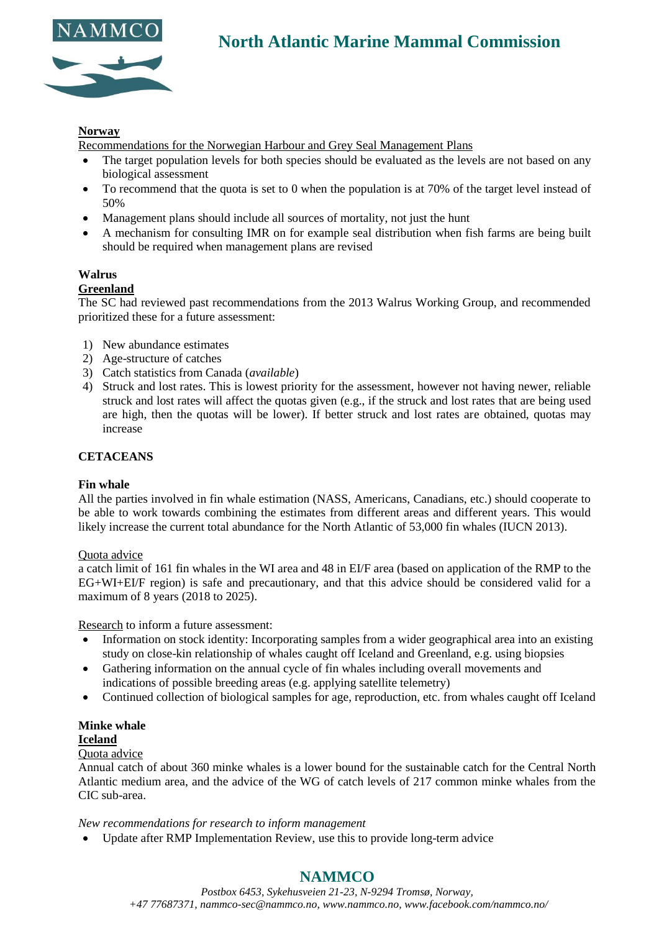



#### **Norway**

Recommendations for the Norwegian Harbour and Grey Seal Management Plans

- The target population levels for both species should be evaluated as the levels are not based on any biological assessment
- To recommend that the quota is set to 0 when the population is at 70% of the target level instead of 50%
- Management plans should include all sources of mortality, not just the hunt
- A mechanism for consulting IMR on for example seal distribution when fish farms are being built should be required when management plans are revised

### **Walrus**

#### **Greenland**

The SC had reviewed past recommendations from the 2013 Walrus Working Group, and recommended prioritized these for a future assessment:

- 1) New abundance estimates
- 2) Age-structure of catches
- 3) Catch statistics from Canada (*available*)
- 4) Struck and lost rates. This is lowest priority for the assessment, however not having newer, reliable struck and lost rates will affect the quotas given (e.g., if the struck and lost rates that are being used are high, then the quotas will be lower). If better struck and lost rates are obtained, quotas may increase

#### **CETACEANS**

#### **Fin whale**

All the parties involved in fin whale estimation (NASS, Americans, Canadians, etc.) should cooperate to be able to work towards combining the estimates from different areas and different years. This would likely increase the current total abundance for the North Atlantic of 53,000 fin whales (IUCN 2013).

#### Quota advice

a catch limit of 161 fin whales in the WI area and 48 in EI/F area (based on application of the RMP to the EG+WI+EI/F region) is safe and precautionary, and that this advice should be considered valid for a maximum of 8 years (2018 to 2025).

Research to inform a future assessment:

- Information on stock identity: Incorporating samples from a wider geographical area into an existing study on close-kin relationship of whales caught off Iceland and Greenland, e.g. using biopsies
- Gathering information on the annual cycle of fin whales including overall movements and indications of possible breeding areas (e.g. applying satellite telemetry)
- Continued collection of biological samples for age, reproduction, etc. from whales caught off Iceland

#### **Minke whale**

#### **Iceland**

#### Quota advice

Annual catch of about 360 minke whales is a lower bound for the sustainable catch for the Central North Atlantic medium area, and the advice of the WG of catch levels of 217 common minke whales from the CIC sub-area.

#### *New recommendations for research to inform management*

• Update after RMP Implementation Review, use this to provide long-term advice